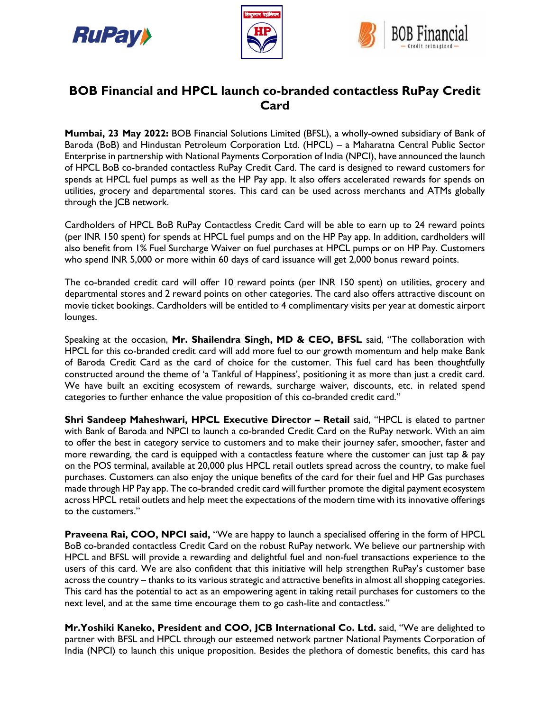





## **BOB Financial and HPCL launch co-branded contactless RuPay Credit Card**

**Mumbai, 23 May 2022:** BOB Financial Solutions Limited (BFSL), a wholly-owned subsidiary of Bank of Baroda (BoB) and Hindustan Petroleum Corporation Ltd. (HPCL) – a Maharatna Central Public Sector Enterprise in partnership with National Payments Corporation of India (NPCI), have announced the launch of HPCL BoB co-branded contactless RuPay Credit Card. The card is designed to reward customers for spends at HPCL fuel pumps as well as the HP Pay app. It also offers accelerated rewards for spends on utilities, grocery and departmental stores. This card can be used across merchants and ATMs globally through the JCB network.

Cardholders of HPCL BoB RuPay Contactless Credit Card will be able to earn up to 24 reward points (per INR 150 spent) for spends at HPCL fuel pumps and on the HP Pay app. In addition, cardholders will also benefit from 1% Fuel Surcharge Waiver on fuel purchases at HPCL pumps or on HP Pay. Customers who spend INR 5,000 or more within 60 days of card issuance will get 2,000 bonus reward points.

The co-branded credit card will offer 10 reward points (per INR 150 spent) on utilities, grocery and departmental stores and 2 reward points on other categories. The card also offers attractive discount on movie ticket bookings. Cardholders will be entitled to 4 complimentary visits per year at domestic airport lounges.

Speaking at the occasion, **Mr. Shailendra Singh, MD & CEO, BFSL** said, "The collaboration with HPCL for this co-branded credit card will add more fuel to our growth momentum and help make Bank of Baroda Credit Card as the card of choice for the customer. This fuel card has been thoughtfully constructed around the theme of 'a Tankful of Happiness', positioning it as more than just a credit card. We have built an exciting ecosystem of rewards, surcharge waiver, discounts, etc. in related spend categories to further enhance the value proposition of this co-branded credit card."

**Shri Sandeep Maheshwari, HPCL Executive Director – Retail** said, "HPCL is elated to partner with Bank of Baroda and NPCI to launch a co-branded Credit Card on the RuPay network. With an aim to offer the best in category service to customers and to make their journey safer, smoother, faster and more rewarding, the card is equipped with a contactless feature where the customer can just tap & pay on the POS terminal, available at 20,000 plus HPCL retail outlets spread across the country, to make fuel purchases. Customers can also enjoy the unique benefits of the card for their fuel and HP Gas purchases made through HP Pay app. The co-branded credit card will further promote the digital payment ecosystem across HPCL retail outlets and help meet the expectations of the modern time with its innovative offerings to the customers."

**Praveena Rai, COO, NPCI said,** "We are happy to launch a specialised offering in the form of HPCL BoB co-branded contactless Credit Card on the robust RuPay network. We believe our partnership with HPCL and BFSL will provide a rewarding and delightful fuel and non-fuel transactions experience to the users of this card. We are also confident that this initiative will help strengthen RuPay's customer base across the country – thanks to its various strategic and attractive benefits in almost all shopping categories. This card has the potential to act as an empowering agent in taking retail purchases for customers to the next level, and at the same time encourage them to go cash-lite and contactless."

**Mr.Yoshiki Kaneko, President and COO, JCB International Co. Ltd.** said, "We are delighted to partner with BFSL and HPCL through our esteemed network partner National Payments Corporation of India (NPCI) to launch this unique proposition. Besides the plethora of domestic benefits, this card has